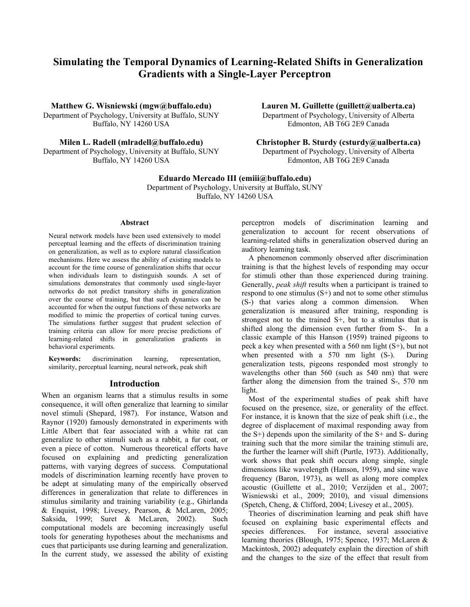# **Simulating the Temporal Dynamics of Learning-Related Shifts in Generalization Gradients with a Single-Layer Perceptron**

**Matthew G. Wisniewski (mgw@buffalo.edu)** Department of Psychology, University at Buffalo, SUNY Buffalo, NY 14260 USA

**Milen L. Radell (mlradell@buffalo.edu)** Department of Psychology, University at Buffalo, SUNY Buffalo, NY 14260 USA

**Christopher B. Sturdy (csturdy@ualberta.ca)**

Department of Psychology, University of Alberta Edmonton, AB T6G 2E9 Canada

## **Eduardo Mercado III (emiii@buffalo.edu)**

Department of Psychology, University at Buffalo, SUNY Buffalo, NY 14260 USA

#### **Abstract**

Neural network models have been used extensively to model perceptual learning and the effects of discrimination training on generalization, as well as to explore natural classification mechanisms. Here we assess the ability of existing models to account for the time course of generalization shifts that occur when individuals learn to distinguish sounds. A set of simulations demonstrates that commonly used single-layer networks do not predict transitory shifts in generalization over the course of training, but that such dynamics can be accounted for when the output functions of these networks are modified to mimic the properties of cortical tuning curves. The simulations further suggest that prudent selection of training criteria can allow for more precise predictions of learning-related shifts in generalization gradients in behavioral experiments.

**Keywords:** discrimination learning, representation, similarity, perceptual learning, neural network, peak shift

### **Introduction**

When an organism learns that a stimulus results in some consequence, it will often generalize that learning to similar novel stimuli (Shepard, 1987). For instance, Watson and Raynor (1920) famously demonstrated in experiments with Little Albert that fear associated with a white rat can generalize to other stimuli such as a rabbit, a fur coat, or even a piece of cotton. Numerous theoretical efforts have focused on explaining and predicting generalization patterns, with varying degrees of success. Computational models of discrimination learning recently have proven to be adept at simulating many of the empirically observed differences in generalization that relate to differences in stimulus similarity and training variability (e.g., Ghirlanda & Enquist, 1998; Livesey, Pearson, & McLaren, 2005; Saksida, 1999; Suret & McLaren, 2002). Such computational models are becoming increasingly useful tools for generating hypotheses about the mechanisms and cues that participants use during learning and generalization. In the current study, we assessed the ability of existing

perceptron models of discrimination learning and generalization to account for recent observations of learning-related shifts in generalization observed during an auditory learning task.

A phenomenon commonly observed after discrimination training is that the highest levels of responding may occur for stimuli other than those experienced during training. Generally, *peak shift* results when a participant is trained to respond to one stimulus  $(S<sup>+</sup>)$  and not to some other stimulus (S-) that varies along a common dimension. When generalization is measured after training, responding is strongest not to the trained S+, but to a stimulus that is shifted along the dimension even further from S-. In a classic example of this Hanson (1959) trained pigeons to peck a key when presented with a 560 nm light (S+), but not when presented with a 570 nm light (S-). During generalization tests, pigeons responded most strongly to wavelengths other than 560 (such as 540 nm) that were farther along the dimension from the trained S-, 570 nm light.

Most of the experimental studies of peak shift have focused on the presence, size, or generality of the effect. For instance, it is known that the size of peak shift (i.e., the degree of displacement of maximal responding away from the  $S+$ ) depends upon the similarity of the  $S+$  and  $S-$  during training such that the more similar the training stimuli are, the further the learner will shift (Purtle, 1973). Additionally, work shows that peak shift occurs along simple, single dimensions like wavelength (Hanson, 1959), and sine wave frequency (Baron, 1973), as well as along more complex acoustic (Guillette et al., 2010; Verzijden et al., 2007; Wisniewski et al., 2009; 2010), and visual dimensions (Spetch, Cheng, & Clifford, 2004; Livesey et al., 2005).

Theories of discrimination learning and peak shift have focused on explaining basic experimental effects and species differences. For instance, several associative learning theories (Blough, 1975; Spence, 1937; McLaren & Mackintosh, 2002) adequately explain the direction of shift and the changes to the size of the effect that result from

**Lauren M. Guillette (guillett@ualberta.ca)** Department of Psychology, University of Alberta Edmonton, AB T6G 2E9 Canada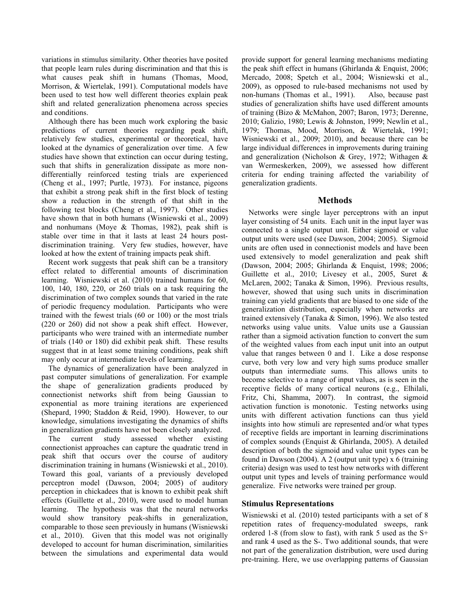variations in stimulus similarity. Other theories have posited that people learn rules during discrimination and that this is what causes peak shift in humans (Thomas, Mood, Morrison, & Wiertelak, 1991). Computational models have been used to test how well different theories explain peak shift and related generalization phenomena across species and conditions.

Although there has been much work exploring the basic predictions of current theories regarding peak shift, relatively few studies, experimental or theoretical, have looked at the dynamics of generalization over time. A few studies have shown that extinction can occur during testing, such that shifts in generalization dissipate as more nondifferentially reinforced testing trials are experienced (Cheng et al., 1997; Purtle, 1973). For instance, pigeons that exhibit a strong peak shift in the first block of testing show a reduction in the strength of that shift in the following test blocks (Cheng et al., 1997). Other studies have shown that in both humans (Wisniewski et al., 2009) and nonhumans (Moye & Thomas, 1982), peak shift is stable over time in that it lasts at least 24 hours postdiscrimination training. Very few studies, however, have looked at how the extent of training impacts peak shift.

Recent work suggests that peak shift can be a transitory effect related to differential amounts of discrimination learning. Wisniewski et al. (2010) trained humans for 60, 100, 140, 180, 220, or 260 trials on a task requiring the discrimination of two complex sounds that varied in the rate of periodic frequency modulation. Participants who were trained with the fewest trials (60 or 100) or the most trials (220 or 260) did not show a peak shift effect. However, participants who were trained with an intermediate number of trials (140 or 180) did exhibit peak shift. These results suggest that in at least some training conditions, peak shift may only occur at intermediate levels of learning.

The dynamics of generalization have been analyzed in past computer simulations of generalization. For example the shape of generalization gradients produced by connectionist networks shift from being Gaussian to exponential as more training iterations are experienced (Shepard, 1990; Staddon & Reid, 1990). However, to our knowledge, simulations investigating the dynamics of shifts in generalization gradients have not been closely analyzed.

The current study assessed whether existing connectionist approaches can capture the quadratic trend in peak shift that occurs over the course of auditory discrimination training in humans (Wisniewski et al., 2010). Toward this goal, variants of a previously developed perceptron model (Dawson, 2004; 2005) of auditory perception in chickadees that is known to exhibit peak shift effects (Guillette et al., 2010), were used to model human learning. The hypothesis was that the neural networks would show transitory peak-shifts in generalization, comparable to those seen previously in humans (Wisniewski et al., 2010). Given that this model was not originally developed to account for human discrimination, similarities between the simulations and experimental data would provide support for general learning mechanisms mediating the peak shift effect in humans (Ghirlanda & Enquist, 2006; Mercado, 2008; Spetch et al., 2004; Wisniewski et al., 2009), as opposed to rule-based mechanisms not used by non-humans (Thomas et al., 1991). Also, because past studies of generalization shifts have used different amounts of training (Bizo & McMahon, 2007; Baron, 1973; Derenne, 2010; Galizio, 1980; Lewis & Johnston, 1999; Newlin et al., 1979; Thomas, Mood, Morrison, & Wiertelak, 1991; Wisniewski et al., 2009; 2010), and because there can be large individual differences in improvements during training and generalization (Nicholson & Grey, 1972; Withagen & van Wermeskerken, 2009), we assessed how different criteria for ending training affected the variability of generalization gradients.

# **Methods**

Networks were single layer perceptrons with an input layer consisting of 54 units. Each unit in the input layer was connected to a single output unit. Either sigmoid or value output units were used (see Dawson, 2004; 2005). Sigmoid units are often used in connectionist models and have been used extensively to model generalization and peak shift (Dawson, 2004; 2005; Ghirlanda & Enquist, 1998; 2006; Guillette et al., 2010; Livesey et al., 2005, Suret & McLaren, 2002; Tanaka & Simon, 1996). Previous results, however, showed that using such units in discrimination training can yield gradients that are biased to one side of the generalization distribution, especially when networks are trained extensively (Tanaka & Simon, 1996). We also tested networks using value units. Value units use a Gaussian rather than a sigmoid activation function to convert the sum of the weighted values from each input unit into an output value that ranges between 0 and 1. Like a dose response curve, both very low and very high sums produce smaller outputs than intermediate sums. This allows units to become selective to a range of input values, as is seen in the receptive fields of many cortical neurons (e.g., Elhilali, Fritz, Chi, Shamma, 2007). In contrast, the sigmoid activation function is monotonic. Testing networks using units with different activation functions can thus yield insights into how stimuli are represented and/or what types of receptive fields are important in learning discriminations of complex sounds (Enquist & Ghirlanda, 2005). A detailed description of both the sigmoid and value unit types can be found in Dawson (2004). A 2 (output unit type) x 6 (training criteria) design was used to test how networks with different output unit types and levels of training performance would generalize. Five networks were trained per group.

# **Stimulus Representations**

Wisniewski et al. (2010) tested participants with a set of 8 repetition rates of frequency-modulated sweeps, rank ordered 1-8 (from slow to fast), with rank 5 used as the S+ and rank 4 used as the S-. Two additional sounds, that were not part of the generalization distribution, were used during pre-training. Here, we use overlapping patterns of Gaussian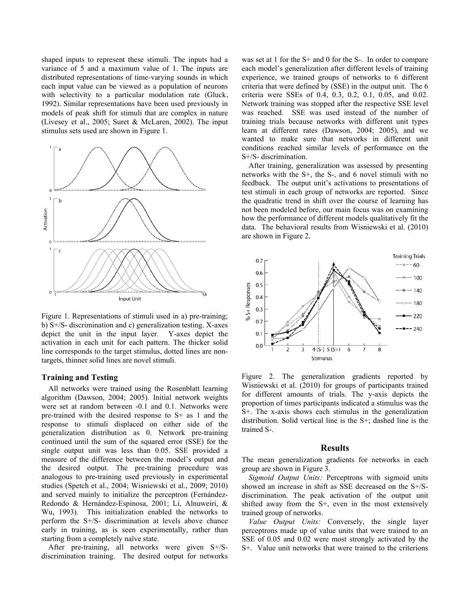shaped inputs to represent these stimuli. The inputs had a variance of 5 and a maximum value of 1. The inputs are distributed representations of time-varying sounds in which each input value can be viewed as a population of neurons with selectivity to a particular modulation rate (Gluck, 1992). Similar representations have been used previously in models of peak shift for stimuli that are complex in nature (Livesey et al., 2005; Suret & McLaren, 2002). The input stimulus sets used are shown in Figure 1.



Figure 1. Representations of stimuli used in a) pre-training; b) S+/S- discrimination and c) generalization testing. X-axes depict the unit in the input layer. Y-axes depict the activation in each unit for each pattern. The thicker solid line corresponds to the target stimulus, dotted lines are nontargets, thinner solid lines are novel stimuli.

#### **Training and Testing**

All networks were trained using the Rosenblatt learning algorithm (Dawson, 2004; 2005). Initial network weights were set at random between -0.1 and 0.1. Networks were pre-trained with the desired response to S+ as 1 and the response to stimuli displaced on either side of the generalization distribution as 0. Network pre-training continued until the sum of the squared error (SSE) for the single output unit was less than 0.05. SSE provided a measure of the difference between the model's output and the desired output. The pre-training procedure was analogous to pre-training used previously in experimental studies (Spetch et al., 2004; Wisniewski et al., 2009; 2010) and served mainly to initialize the perceptron (Fernández-Redondo & Hernández-Espinosa, 2001; Li, Alnuweiri, & Wu, 1993). This initialization enabled the networks to perform the S+/S- discrimination at levels above chance early in training, as is seen experimentally, rather than starting from a completely naïve state.

After pre-training, all networks were given S+/Sdiscrimination training. The desired output for networks was set at 1 for the S+ and 0 for the S-. In order to compare each model's generalization after different levels of training experience, we trained groups of networks to 6 different criteria that were defined by (SSE) in the output unit. The 6 criteria were SSEs of 0.4, 0.3, 0.2, 0.1, 0.05, and 0.02. Network training was stopped after the respective SSE level was reached. SSE was used instead of the number of training trials because networks with different unit types learn at different rates (Dawson, 2004; 2005), and we wanted to make sure that networks in different unit conditions reached similar levels of performance on the S+/S- discrimination.

After training, generalization was assessed by presenting networks with the S+, the S-, and 6 novel stimuli with no feedback. The output unit's activations to presentations of test stimuli in each group of networks are reported. Since the quadratic trend in shift over the course of learning has not been modeled before, our main focus was on examining how the performance of different models qualitatively fit the data. The behavioral results from Wisniewski et al. (2010) are shown in Figure 2.



Figure 2. The generalization gradients reported by Wisniewski et al. (2010) for groups of participants trained for different amounts of trials. The y-axis depicts the proportion of times participants indicated a stimulus was the S+. The x-axis shows each stimulus in the generalization distribution. Solid vertical line is the S+; dashed line is the trained S-.

#### **Results**

The mean generalization gradients for networks in each group are shown in Figure 3.

*Sigmoid Output Units:* Perceptrons with sigmoid units showed an increase in shift as SSE decreased on the S+/Sdiscrimination. The peak activation of the output unit shifted away from the S+, even in the most extensively trained group of networks.

*Value Output Units:* Conversely, the single layer perceptrons made up of value units that were trained to an SSE of 0.05 and 0.02 were most strongly activated by the S+. Value unit networks that were trained to the criterions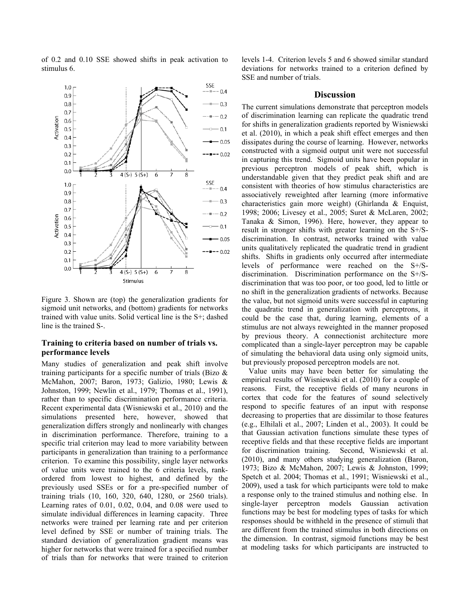of 0.2 and 0.10 SSE showed shifts in peak activation to stimulus 6.



Figure 3. Shown are (top) the generalization gradients for sigmoid unit networks, and (bottom) gradients for networks trained with value units. Solid vertical line is the S+; dashed line is the trained S-.

### **Training to criteria based on number of trials vs. performance levels**

Many studies of generalization and peak shift involve training participants for a specific number of trials (Bizo & McMahon, 2007; Baron, 1973; Galizio, 1980; Lewis & Johnston, 1999; Newlin et al., 1979; Thomas et al., 1991), rather than to specific discrimination performance criteria. Recent experimental data (Wisniewski et al., 2010) and the simulations presented here, however, showed that generalization differs strongly and nonlinearly with changes in discrimination performance. Therefore, training to a specific trial criterion may lead to more variability between participants in generalization than training to a performance criterion. To examine this possibility, single layer networks of value units were trained to the 6 criteria levels, rankordered from lowest to highest, and defined by the previously used SSEs or for a pre-specified number of training trials (10, 160, 320, 640, 1280, or 2560 trials). Learning rates of 0.01, 0.02, 0.04, and 0.08 were used to simulate individual differences in learning capacity. Three networks were trained per learning rate and per criterion level defined by SSE or number of training trials. The standard deviation of generalization gradient means was higher for networks that were trained for a specified number of trials than for networks that were trained to criterion levels 1-4. Criterion levels 5 and 6 showed similar standard deviations for networks trained to a criterion defined by SSE and number of trials.

#### **Discussion**

The current simulations demonstrate that perceptron models of discrimination learning can replicate the quadratic trend for shifts in generalization gradients reported by Wisniewski et al. (2010), in which a peak shift effect emerges and then dissipates during the course of learning. However, networks constructed with a sigmoid output unit were not successful in capturing this trend. Sigmoid units have been popular in previous perceptron models of peak shift, which is understandable given that they predict peak shift and are consistent with theories of how stimulus characteristics are associatively reweighted after learning (more informative characteristics gain more weight) (Ghirlanda & Enquist, 1998; 2006; Livesey et al., 2005; Suret & McLaren, 2002; Tanaka & Simon, 1996). Here, however, they appear to result in stronger shifts with greater learning on the S+/Sdiscrimination. In contrast, networks trained with value units qualitatively replicated the quadratic trend in gradient shifts. Shifts in gradients only occurred after intermediate levels of performance were reached on the S+/Sdiscrimination. Discrimination performance on the S+/Sdiscrimination that was too poor, or too good, led to little or no shift in the generalization gradients of networks. Because the value, but not sigmoid units were successful in capturing the quadratic trend in generalization with perceptrons, it could be the case that, during learning, elements of a stimulus are not always reweighted in the manner proposed by previous theory. A connectionist architecture more complicated than a single-layer perceptron may be capable of simulating the behavioral data using only sigmoid units, but previously proposed perceptron models are not.

Value units may have been better for simulating the empirical results of Wisniewski et al. (2010) for a couple of reasons. First, the receptive fields of many neurons in cortex that code for the features of sound selectively respond to specific features of an input with response decreasing to properties that are dissimilar to those features (e.g., Elhilali et al., 2007; Linden et al., 2003). It could be that Gaussian activation functions simulate these types of receptive fields and that these receptive fields are important for discrimination training. Second, Wisniewski et al. (2010), and many others studying generalization (Baron, 1973; Bizo & McMahon, 2007; Lewis & Johnston, 1999; Spetch et al. 2004; Thomas et al., 1991; Wisniewski et al., 2009), used a task for which participants were told to make a response only to the trained stimulus and nothing else. In single-layer perceptron models Gaussian activation functions may be best for modeling types of tasks for which responses should be withheld in the presence of stimuli that are different from the trained stimulus in both directions on the dimension. In contrast, sigmoid functions may be best at modeling tasks for which participants are instructed to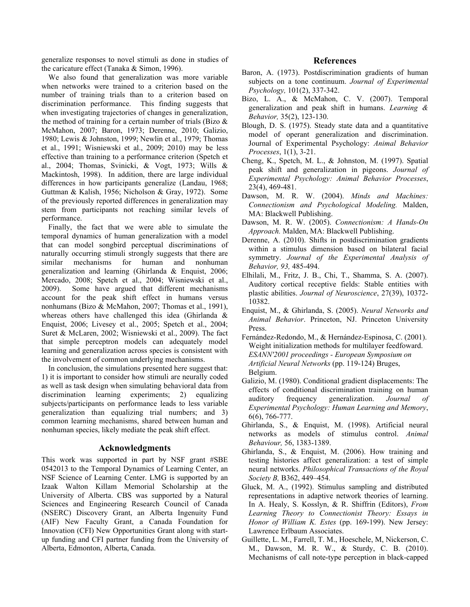generalize responses to novel stimuli as done in studies of the caricature effect (Tanaka & Simon, 1996).

We also found that generalization was more variable when networks were trained to a criterion based on the number of training trials than to a criterion based on discrimination performance. This finding suggests that when investigating trajectories of changes in generalization, the method of training for a certain number of trials (Bizo & McMahon, 2007; Baron, 1973; Derenne, 2010; Galizio, 1980; Lewis & Johnston, 1999; Newlin et al., 1979; Thomas et al., 1991; Wisniewski et al., 2009; 2010) may be less effective than training to a performance criterion (Spetch et al., 2004; Thomas, Svinicki, & Vogt, 1973; Wills & Mackintosh, 1998). In addition, there are large individual differences in how participants generalize (Landau, 1968; Guttman & Kalish, 1956; Nicholson & Gray, 1972). Some of the previously reported differences in generalization may stem from participants not reaching similar levels of performance.

Finally, the fact that we were able to simulate the temporal dynamics of human generalization with a model that can model songbird perceptual discriminations of naturally occurring stimuli strongly suggests that there are similar mechanisms for human and nonhuman generalization and learning (Ghirlanda & Enquist, 2006; Mercado, 2008; Spetch et al., 2004; Wisniewski et al., 2009). Some have argued that different mechanisms account for the peak shift effect in humans versus nonhumans (Bizo & McMahon, 2007; Thomas et al., 1991), whereas others have challenged this idea (Ghirlanda & Enquist, 2006; Livesey et al., 2005; Spetch et al., 2004; Suret & McLaren, 2002; Wisniewski et al., 2009). The fact that simple perceptron models can adequately model learning and generalization across species is consistent with the involvement of common underlying mechanisms.

In conclusion, the simulations presented here suggest that: 1) it is important to consider how stimuli are neurally coded as well as task design when simulating behavioral data from discrimination learning experiments; 2) equalizing subjects/participants on performance leads to less variable generalization than equalizing trial numbers; and 3) common learning mechanisms, shared between human and nonhuman species, likely mediate the peak shift effect.

## **Acknowledgments**

This work was supported in part by NSF grant #SBE 0542013 to the Temporal Dynamics of Learning Center, an NSF Science of Learning Center. LMG is supported by an Izaak Walton Killam Memorial Scholarship at the University of Alberta. CBS was supported by a Natural Sciences and Engineering Research Council of Canada (NSERC) Discovery Grant, an Alberta Ingenuity Fund (AIF) New Faculty Grant, a Canada Foundation for Innovation (CFI) New Opportunities Grant along with startup funding and CFI partner funding from the University of Alberta, Edmonton, Alberta, Canada.

### **References**

- Baron, A. (1973). Postdiscrimination gradients of human subjects on a tone continuum. *Journal of Experimental Psychology,* 101(2), 337-342.
- Bizo, L. A., & McMahon, C. V. (2007). Temporal generalization and peak shift in humans. *Learning & Behavior,* 35(2), 123-130.
- Blough, D. S. (1975). Steady state data and a quantitative model of operant generalization and discrimination. Journal of Experimental Psychology: *Animal Behavior Processes*, 1(1), 3-21.
- Cheng, K., Spetch, M. L., & Johnston, M. (1997). Spatial peak shift and generalization in pigeons. *Journal of Experimental Psychology: Animal Behavior Processes*, 23(4), 469-481.
- Dawson, M. R. W. (2004). *Minds and Machines: Connectionism and Psychological Modeling.* Malden, MA: Blackwell Publishing.
- Dawson, M. R. W. (2005). *Connectionism: A Hands-On Approach.* Malden, MA: Blackwell Publishing.
- Derenne, A. (2010). Shifts in postdiscrimination gradients within a stimulus dimension based on bilateral facial symmetry. *Journal of the Experimental Analysis of Behavior, 93,* 485-494.
- Elhilali, M., Fritz, J. B., Chi, T., Shamma, S. A. (2007). Auditory cortical receptive fields: Stable entities with plastic abilities. *Journal of Neuroscience*, 27(39), 10372- 10382.
- Enquist, M., & Ghirlanda, S. (2005). *Neural Networks and Animal Behavior*. Princeton, NJ. Princeton University Press.
- Fernández-Redondo, M., & Hernández-Espinosa, C. (2001). Weight initialization methods for multilayer feedfoward. *ESANN'2001 proceedings - European Symposium on Artificial Neural Networks* (pp. 119-124) Bruges, Belgium.
- Galizio, M. (1980). Conditional gradient displacements: The effects of conditional discrimination training on human auditory frequency generalization. *Journal of Experimental Psychology: Human Learning and Memory*, 6(6), 766-777.
- Ghirlanda, S., & Enquist, M. (1998). Artificial neural networks as models of stimulus control. *Animal Behaviour,* 56, 1383-1389.
- Ghirlanda, S., & Enquist, M. (2006). How training and testing histories affect generalization: a test of simple neural networks. *Philosophical Transactions of the Royal Society B,* B362, 449–454.
- Gluck, M. A., (1992). Stimulus sampling and distributed representations in adaptive network theories of learning. In A. Healy, S. Kosslyn, & R. Shiffrin (Editors), *From Learning Theory to Connectionist Theory: Essays in Honor of William K. Estes* (pp. 169-199). New Jersey: Lawrence Erlbaum Associates.
- Guillette, L. M., Farrell, T. M., Hoeschele, M, Nickerson, C. M., Dawson, M. R. W., & Sturdy, C. B. (2010). Mechanisms of call note-type perception in black-capped